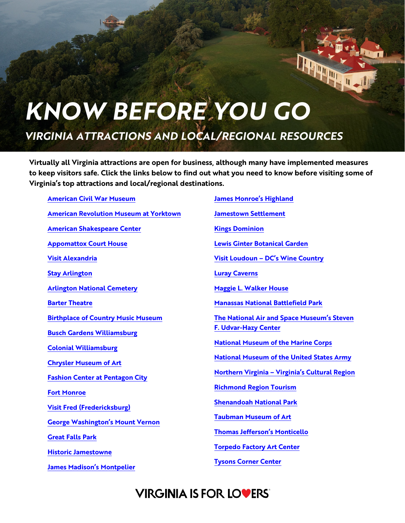## *KNOW BEFORE YOU GO*

*VIRGINIA ATTRACTIONS AND LOCAL/REGIONAL RESOURCES*

**Virtually all Virginia attractions are open for business, although many have implemented measures to keep visitors safe. Click the links below to find out what you need to know before visiting some of Virginia's top attractions and local/regional destinations.**

**[American Civil War Museum](https://acwm.org/acwm-covid-19-policies-and-procedures/) [American Revolution Museum at Yorktown](https://www.historyisfun.org/update/?_ga=2.222407963.1481368410.1634580549-2123953872.1634249571) [American Shakespeare Center](https://americanshakespearecenter.com/asc-safestart/) [Appomattox Court House](https://www.nps.gov/apco/index.htm) [Visit Alexandria](https://www.visitalexandriava.com/plan/) [Stay Arlington](https://www.stayarlington.com/travel-planning/health-and-safety/) [Arlington National Cemetery](https://www.arlingtoncemetery.mil/COVID) [Barter Theatre](https://bartertheatre.com/season-preview/#gilliam) [Birthplace of Country Music Museum](https://birthplaceofcountrymusic.org/visit/) [Busch Gardens Williamsburg](https://buschgardens.com/williamsburg/park-info/park-safety/) [Colonial Williamsburg](https://www.colonialwilliamsburg.org/update/) [Chrysler Museum of Art](https://chrysler.org/chrysler-museum-reopening-faq/#:%7E:text=We%20are%20excited%20to%20welcome%20you%20to%20the%20Chrysler%20Museum%20of%20Art!&text=Face%20Masks%3A%20Face%20masks%20are,Tickets%20are%20no%20longer%20necessary.) [Fashion Center at Pentagon City](https://healthsafetyfirst.splashthat.com/localhomepages) [Fort Monroe](https://www.nps.gov/fomr/index.htm) [Visit Fred \(Fredericksburg\)](https://visitfred.com/know-before-you-go-whats-open-in-the-fredericksburg-region/) [George Washington's Mount Vernon](https://www.mountvernon.org/plan-your-visit/) [Great Falls Park](https://www.nps.gov/grfa/planyourvisit/conditions.htm) [Historic Jamestowne](https://historicjamestowne.org/visit/operations-updates/) [James Madison's Montpelier](https://www.montpelier.org/events/grounds-reopen)**

**[James Monroe's Highland](https://highland.org/plan-your-visit/tours-and-tickets/) [Jamestown Settlement](https://www.historyisfun.org/update/?_ga=2.222407963.1481368410.1634580549-2123953872.1634249571) [Kings Dominion](https://www.kingsdominion.com/welcoming-you-back) [Lewis Ginter Botanical Garden](https://www.lewisginter.org/your-safety-is-our-priority/) [Visit Loudoun –](https://www.visitloudoun.org/stay/visitor-information/visitor-safety-information/) DC's Wine Country [Luray Caverns](https://luraycaverns.com/visit-us/) [Maggie L. Walker House](https://www.nps.gov/mawa/index.htm) [Manassas National Battlefield Park](https://www.nps.gov/mana/planyourvisit/conditions.htm) [The National Air and Space Museum's Steven](https://airandspace.si.edu/visit/covid-19-message)  [F. Udvar-Hazy Center](https://airandspace.si.edu/visit/covid-19-message) [National Museum of the Marine Corps](https://www.usmcmuseum.com/covid-19.html) [National Museum of the United States Army](https://www.thenmusa.org/covid-19-opening-information/) Northern Virginia – [Virginia's Cultural Region](https://www.northernva.org/) [Richmond Region Tourism](https://www.visitrichmondva.com/travel-safely/) [Shenandoah National Park](https://www.nps.gov/shen/planyourvisit/conditions.htm) [Taubman Museum of Art](https://www.taubmanmuseum.org/news/response-to-covid-19) [Thomas Jefferson's Monticello](https://www.monticello.org/visit/tickets-tours/reopening-faqs/?ref=thisis) [Torpedo Factory Art Center](https://torpedofactory.org/visit/)**

**[Tysons Corner Center](https://www.tysonscornercenter.com/takingcare)**

## **VIRGINIA IS FOR LOVERS'**